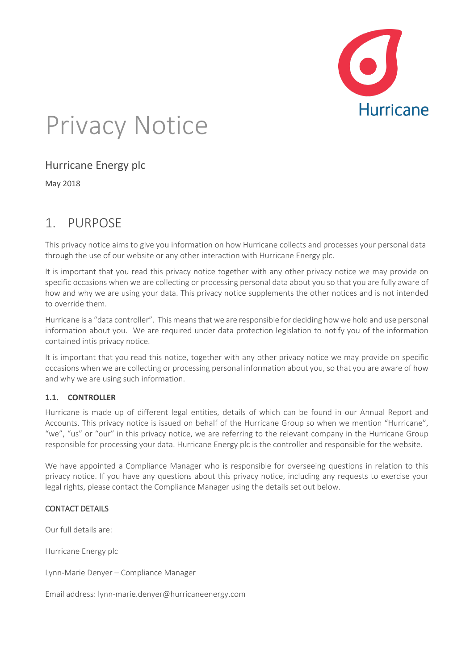

# Privacy Notice

### Hurricane Energy plc

May 2018

### 1. PURPOSE

This privacy notice aims to give you information on how Hurricane collects and processes your personal data through the use of our website or any other interaction with Hurricane Energy plc.

It is important that you read this privacy notice together with any other privacy notice we may provide on specific occasions when we are collecting or processing personal data about you so that you are fully aware of how and why we are using your data. This privacy notice supplements the other notices and is not intended to override them.

Hurricane is a "data controller". This means that we are responsible for deciding how we hold and use personal information about you. We are required under data protection legislation to notify you of the information contained intis privacy notice.

It is important that you read this notice, together with any other privacy notice we may provide on specific occasions when we are collecting or processing personal information about you, so that you are aware of how and why we are using such information.

### **1.1. CONTROLLER**

Hurricane is made up of different legal entities, details of which can be found in our Annual Report and Accounts. This privacy notice is issued on behalf of the Hurricane Group so when we mention "Hurricane", "we", "us" or "our" in this privacy notice, we are referring to the relevant company in the Hurricane Group responsible for processing your data. Hurricane Energy plc is the controller and responsible for the website.

We have appointed a Compliance Manager who is responsible for overseeing questions in relation to this privacy notice. If you have any questions about this privacy notice, including any requests to exercise your legal rights, please contact the Compliance Manager using the details set out below.

### <span id="page-0-0"></span>CONTACT DETAILS

Our full details are:

Hurricane Energy plc

Lynn-Marie Denyer – Compliance Manager

Email address: lynn-marie.denyer@hurricaneenergy.com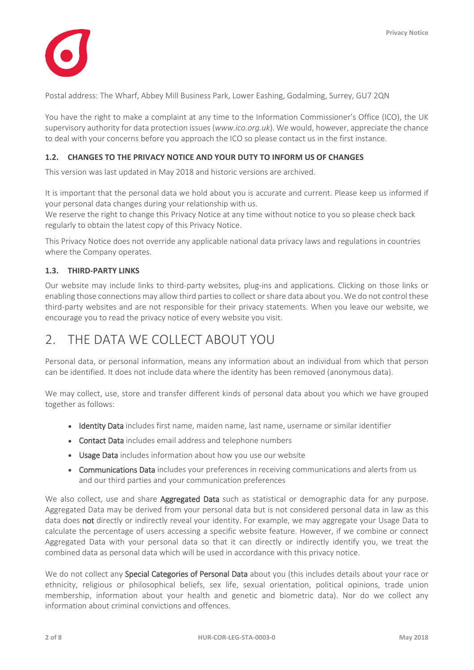

Postal address: The Wharf, Abbey Mill Business Park, Lower Eashing, Godalming, Surrey, GU7 2QN

You have the right to make a complaint at any time to the Information Commissioner's Office (ICO), the UK supervisory authority for data protection issues (*[www.ico.org.uk](http://www.ico.org.uk/)*). We would, however, appreciate the chance to deal with your concerns before you approach the ICO so please contact us in the first instance.

#### **1.2. CHANGES TO THE PRIVACY NOTICE AND YOUR DUTY TO INFORM US OF CHANGES**

This version was last updated in May 2018 and historic versions are archived.

It is important that the personal data we hold about you is accurate and current. Please keep us informed if your personal data changes during your relationship with us.

We reserve the right to change this Privacy Notice at any time without notice to you so please check back regularly to obtain the latest copy of this Privacy Notice.

This Privacy Notice does not override any applicable national data privacy laws and regulations in countries where the Company operates.

#### **1.3. THIRD-PARTY LINKS**

Our website may include links to third-party websites, plug-ins and applications. Clicking on those links or enabling those connections may allow third parties to collect or share data about you. We do not control these third-party websites and are not responsible for their privacy statements. When you leave our website, we encourage you to read the privacy notice of every website you visit.

# 2. THE DATA WE COLLECT ABOUT YOU

Personal data, or personal information, means any information about an individual from which that person can be identified. It does not include data where the identity has been removed (anonymous data).

We may collect, use, store and transfer different kinds of personal data about you which we have grouped together as follows:

- Identity Data includes first name, maiden name, last name, username or similar identifier
- Contact Data includes email address and telephone numbers
- Usage Data includes information about how you use our website
- Communications Data includes your preferences in receiving communications and alerts from us and our third parties and your communication preferences

We also collect, use and share **Aggregated Data** such as statistical or demographic data for any purpose. Aggregated Data may be derived from your personal data but is not considered personal data in law as this data does not directly or indirectly reveal your identity. For example, we may aggregate your Usage Data to calculate the percentage of users accessing a specific website feature. However, if we combine or connect Aggregated Data with your personal data so that it can directly or indirectly identify you, we treat the combined data as personal data which will be used in accordance with this privacy notice.

We do not collect any **Special Categories of Personal Data** about you (this includes details about your race or ethnicity, religious or philosophical beliefs, sex life, sexual orientation, political opinions, trade union membership, information about your health and genetic and biometric data). Nor do we collect any information about criminal convictions and offences.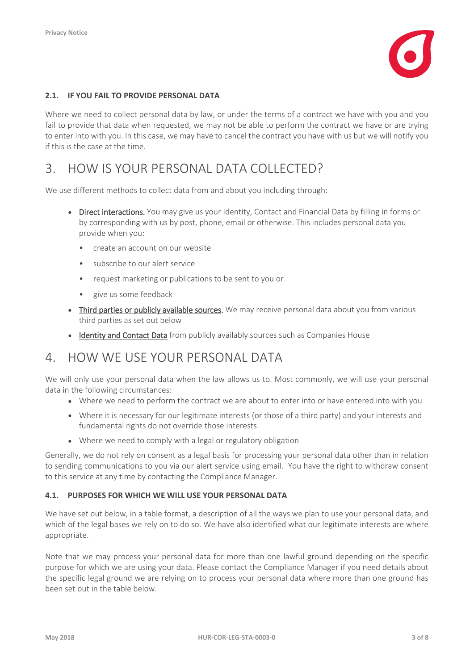

#### **2.1. IF YOU FAIL TO PROVIDE PERSONAL DATA**

Where we need to collect personal data by law, or under the terms of a contract we have with you and you fail to provide that data when requested, we may not be able to perform the contract we have or are trying to enter into with you. In this case, we may have to cancel the contract you have with us but we will notify you if this is the case at the time.

### 3. HOW IS YOUR PERSONAL DATA COLLECTED?

We use different methods to collect data from and about you including through:

- Direct interactions. You may give us your Identity, Contact and Financial Data by filling in forms or by corresponding with us by post, phone, email or otherwise. This includes personal data you provide when you:
	- create an account on our website
	- subscribe to our alert service
	- request marketing or publications to be sent to you or
	- give us some feedback
- Third parties or publicly available sources. We may receive personal data about you from various third parties as set out below
- Identity and Contact Data from publicly availably sources such as Companies House

### 4. HOW WE USE YOUR PERSONAL DATA

We will only use your personal data when the law allows us to. Most commonly, we will use your personal data in the following circumstances:

- Where we need to perform the contract we are about to enter into or have entered into with you
- Where it is necessary for our legitimate interests (or those of a third party) and your interests and fundamental rights do not override those interests
- Where we need to comply with a legal or regulatory obligation

Generally, we do not rely on consent as a legal basis for processing your personal data other than in relation to sending communications to you via our alert service using email. You have the right to withdraw consent to this service at any time by contacting the Compliance Manager.

#### **4.1. PURPOSES FOR WHICH WE WILL USE YOUR PERSONAL DATA**

We have set out below, in a table format, a description of all the ways we plan to use your personal data, and which of the legal bases we rely on to do so. We have also identified what our legitimate interests are where appropriate.

Note that we may process your personal data for more than one lawful ground depending on the specific purpose for which we are using your data. Please contact the Compliance Manager if you need details about the specific legal ground we are relying on to process your personal data where more than one ground has been set out in the table below.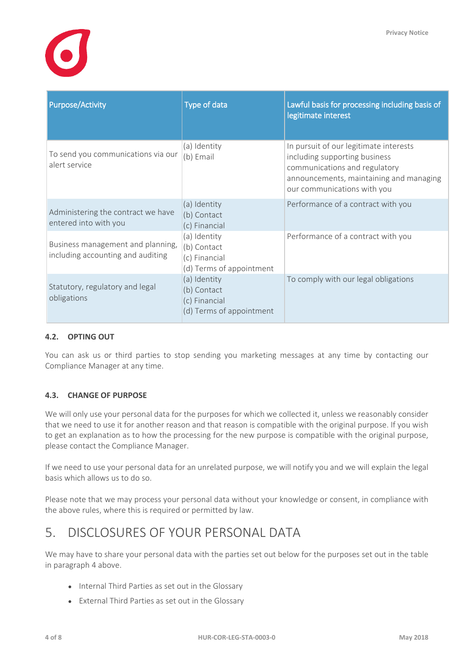

| <b>Purpose/Activity</b>                                                | Type of data                                                             | Lawful basis for processing including basis of<br>legitimate interest                                                                                                              |
|------------------------------------------------------------------------|--------------------------------------------------------------------------|------------------------------------------------------------------------------------------------------------------------------------------------------------------------------------|
| To send you communications via our<br>alert service                    | (a) Identity<br>(b) Email                                                | In pursuit of our legitimate interests<br>including supporting business<br>communications and regulatory<br>announcements, maintaining and managing<br>our communications with you |
| Administering the contract we have<br>entered into with you            | (a) Identity<br>(b) Contact<br>(c) Financial                             | Performance of a contract with you                                                                                                                                                 |
| Business management and planning,<br>including accounting and auditing | (a) Identity<br>(b) Contact<br>(c) Financial<br>(d) Terms of appointment | Performance of a contract with you                                                                                                                                                 |
| Statutory, regulatory and legal<br>obligations                         | (a) Identity<br>(b) Contact<br>(c) Financial<br>(d) Terms of appointment | To comply with our legal obligations                                                                                                                                               |

### **4.2. OPTING OUT**

You can ask us or third parties to stop sending you marketing messages at any time by contacting our Compliance Manager at any time.

#### **4.3. CHANGE OF PURPOSE**

We will only use your personal data for the purposes for which we collected it, unless we reasonably consider that we need to use it for another reason and that reason is compatible with the original purpose. If you wish to get an explanation as to how the processing for the new purpose is compatible with the original purpose, please [contac](#page-0-0)t the Compliance Manager.

If we need to use your personal data for an unrelated purpose, we will notify you and we will explain the legal basis which allows us to do so.

Please note that we may process your personal data without your knowledge or consent, in compliance with the above rules, where this is required or permitted by law.

## 5. DISCLOSURES OF YOUR PERSONAL DATA

We may have to share your personal data with the parties set out below for the purposes set out in the table in paragraph 4 above.

- Internal Third Parties as set out in the Glossary
- External Third Parties as set out in the Glossary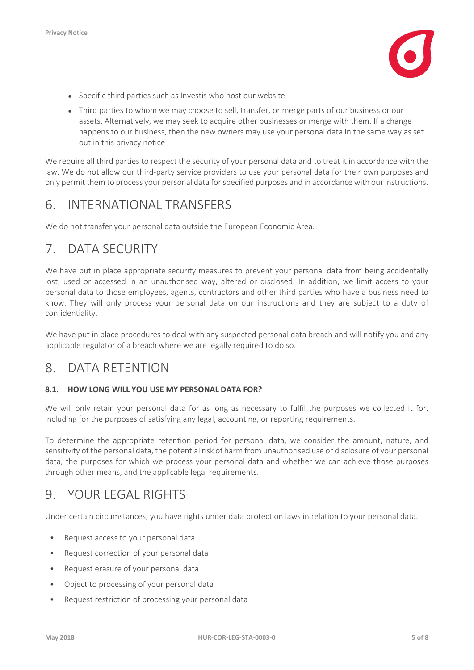

- Specific third parties such as Investis who host our website
- Third parties to whom we may choose to sell, transfer, or merge parts of our business or our assets. Alternatively, we may seek to acquire other businesses or merge with them. If a change happens to our business, then the new owners may use your personal data in the same way as set out in this privacy notice

We require all third parties to respect the security of your personal data and to treat it in accordance with the law. We do not allow our third-party service providers to use your personal data for their own purposes and only permit them to process your personal data forspecified purposes and in accordance with our instructions.

### 6. INTERNATIONAL TRANSFERS

We do not transfer your personal data outside the European Economic Area.

## 7. DATA SECURITY

We have put in place appropriate security measures to prevent your personal data from being accidentally lost, used or accessed in an unauthorised way, altered or disclosed. In addition, we limit access to your personal data to those employees, agents, contractors and other third parties who have a business need to know. They will only process your personal data on our instructions and they are subject to a duty of confidentiality.

We have put in place procedures to deal with any suspected personal data breach and will notify you and any applicable regulator of a breach where we are legally required to do so.

### 8. DATA RETENTION

### **8.1. HOW LONG WILL YOU USE MY PERSONAL DATA FOR?**

We will only retain your personal data for as long as necessary to fulfil the purposes we collected it for, including for the purposes of satisfying any legal, accounting, or reporting requirements.

To determine the appropriate retention period for personal data, we consider the amount, nature, and sensitivity of the personal data, the potential risk of harm from unauthorised use or disclosure of your personal data, the purposes for which we process your personal data and whether we can achieve those purposes through other means, and the applicable legal requirements.

## 9. YOUR LEGAL RIGHTS

Under certain circumstances, you have rights under data protection laws in relation to your personal data.

- Request access to your personal data
- Request correction of your personal data
- Request erasure of your personal data
- Object to processing of your personal data
- Request restriction of processing your personal data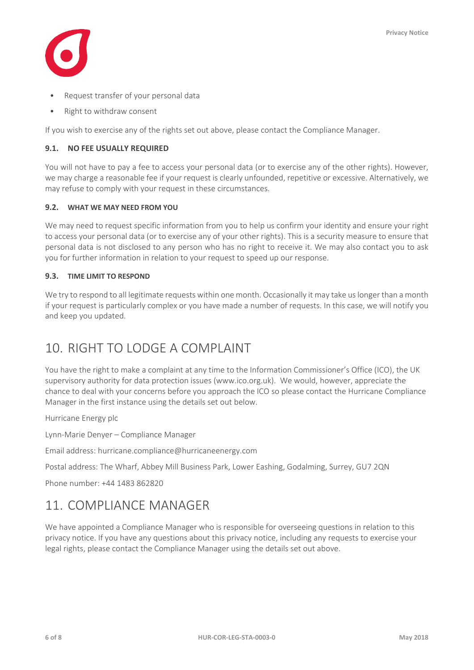

- Request transfer of your personal data
- Right to withdraw consent

If you wish to exercise any of the rights set out above, please [contact](#page-0-0) the Compliance Manager.

#### **9.1. NO FEE USUALLY REQUIRED**

You will not have to pay a fee to access your personal data (or to exercise any of the other rights). However, we may charge a reasonable fee if your request is clearly unfounded, repetitive or excessive. Alternatively, we may refuse to comply with your request in these circumstances.

#### **9.2. WHAT WE MAY NEED FROM YOU**

We may need to request specific information from you to help us confirm your identity and ensure your right to access your personal data (or to exercise any of your other rights). This is a security measure to ensure that personal data is not disclosed to any person who has no right to receive it. We may also contact you to ask you for further information in relation to your request to speed up our response.

#### **9.3. TIME LIMIT TO RESPOND**

We try to respond to all legitimate requests within one month. Occasionally it may take us longer than a month if your request is particularly complex or you have made a number of requests. In this case, we will notify you and keep you updated.

### 10. RIGHT TO LODGE A COMPLAINT

You have the right to make a complaint at any time to the Information Commissioner's Office (ICO), the UK supervisory authority for data protection issues (www.ico.org.uk). We would, however, appreciate the chance to deal with your concerns before you approach the ICO so please contact the Hurricane Compliance Manager in the first instance using the details set out below.

Hurricane Energy plc

Lynn-Marie Denyer – Compliance Manager

Email address: hurricane.compliance@hurricaneenergy.com

Postal address: The Wharf, Abbey Mill Business Park, Lower Eashing, Godalming, Surrey, GU7 2QN

Phone number: +44 1483 862820

### 11. COMPLIANCE MANAGER

We have appointed a Compliance Manager who is responsible for overseeing questions in relation to this privacy notice. If you have any questions about this privacy notice, including any requests to exercise your legal rights, please contact the Compliance Manager using the details set out above.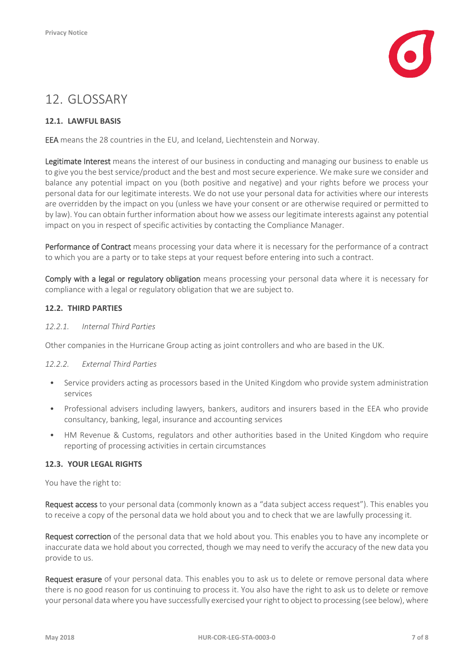

# 12. GLOSSARY

### **12.1. LAWFUL BASIS**

EEA means the 28 countries in the EU, and Iceland, Liechtenstein and Norway.

Legitimate Interest means the interest of our business in conducting and managing our business to enable us to give you the best service/product and the best and most secure experience. We make sure we consider and balance any potential impact on you (both positive and negative) and your rights before we process your personal data for our legitimate interests. We do not use your personal data for activities where our interests are overridden by the impact on you (unless we have your consent or are otherwise required or permitted to by law). You can obtain further information about how we assess our legitimate interests against any potential impact on you in respect of specific activities by contacting the Compliance Manager.

Performance of Contract means processing your data where it is necessary for the performance of a contract to which you are a party or to take steps at your request before entering into such a contract.

Comply with a legal or regulatory obligation means processing your personal data where it is necessary for compliance with a legal or regulatory obligation that we are subject to.

#### **12.2. THIRD PARTIES**

#### *12.2.1. Internal Third Parties*

Other companies in the Hurricane Group acting as joint controllers and who are based in the UK.

#### *12.2.2. External Third Parties*

- Service providers acting as processors based in the United Kingdom who provide system administration services
- Professional advisers including lawyers, bankers, auditors and insurers based in the EEA who provide consultancy, banking, legal, insurance and accounting services
- HM Revenue & Customs, regulators and other authorities based in the United Kingdom who require reporting of processing activities in certain circumstances

### **12.3. YOUR LEGAL RIGHTS**

You have the right to:

Request access to your personal data (commonly known as a "data subject access request"). This enables you to receive a copy of the personal data we hold about you and to check that we are lawfully processing it.

Request correction of the personal data that we hold about you. This enables you to have any incomplete or inaccurate data we hold about you corrected, though we may need to verify the accuracy of the new data you provide to us.

Request erasure of your personal data. This enables you to ask us to delete or remove personal data where there is no good reason for us continuing to process it. You also have the right to ask us to delete or remove your personal data where you have successfully exercised your right to object to processing (see below), where